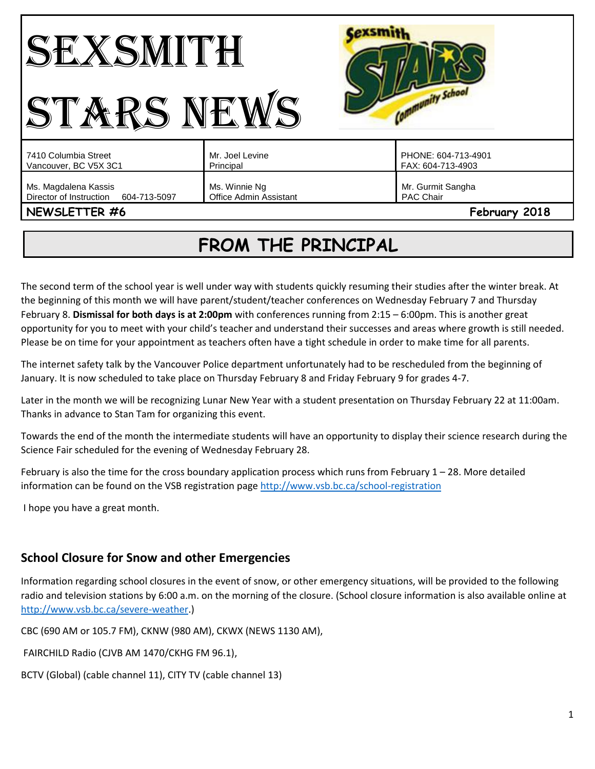#### **Cexsmith** SEXSMITH Community School STARS NEWS Mr. Joel Levine PHONE: 604-713-4901 7410 Columbia Street Vancouver, BC V5X 3C1 Principal FAX: 604-713-4903 Ms. Magdalena Kassis Ms. Winnie Ng Mr. Gurmit Sangha Director of Instruction 604-713-5097 Office Admin Assistant PAC Chair **NEWSLETTER #6 February 2018**

# **FROM THE PRINCIPAL**

The second term of the school year is well under way with students quickly resuming their studies after the winter break. At the beginning of this month we will have parent/student/teacher conferences on Wednesday February 7 and Thursday February 8. **Dismissal for both days is at 2:00pm** with conferences running from 2:15 – 6:00pm. This is another great opportunity for you to meet with your child's teacher and understand their successes and areas where growth is still needed. Please be on time for your appointment as teachers often have a tight schedule in order to make time for all parents.

The internet safety talk by the Vancouver Police department unfortunately had to be rescheduled from the beginning of January. It is now scheduled to take place on Thursday February 8 and Friday February 9 for grades 4-7.

Later in the month we will be recognizing Lunar New Year with a student presentation on Thursday February 22 at 11:00am. Thanks in advance to Stan Tam for organizing this event.

Towards the end of the month the intermediate students will have an opportunity to display their science research during the Science Fair scheduled for the evening of Wednesday February 28.

February is also the time for the cross boundary application process which runs from February  $1 - 28$ . More detailed information can be found on the VSB registration page<http://www.vsb.bc.ca/school-registration>

I hope you have a great month.

### **School Closure for Snow and other Emergencies**

Information regarding school closures in the event of snow, or other emergency situations, will be provided to the following radio and television stations by 6:00 a.m. on the morning of the closure. (School closure information is also available online at [http://www.vsb.bc.ca/severe-weather.](http://www.vsb.bc.ca/severe-weather))

CBC (690 AM or 105.7 FM), CKNW (980 AM), CKWX (NEWS 1130 AM),

FAIRCHILD Radio (CJVB AM 1470/CKHG FM 96.1),

BCTV (Global) (cable channel 11), CITY TV (cable channel 13)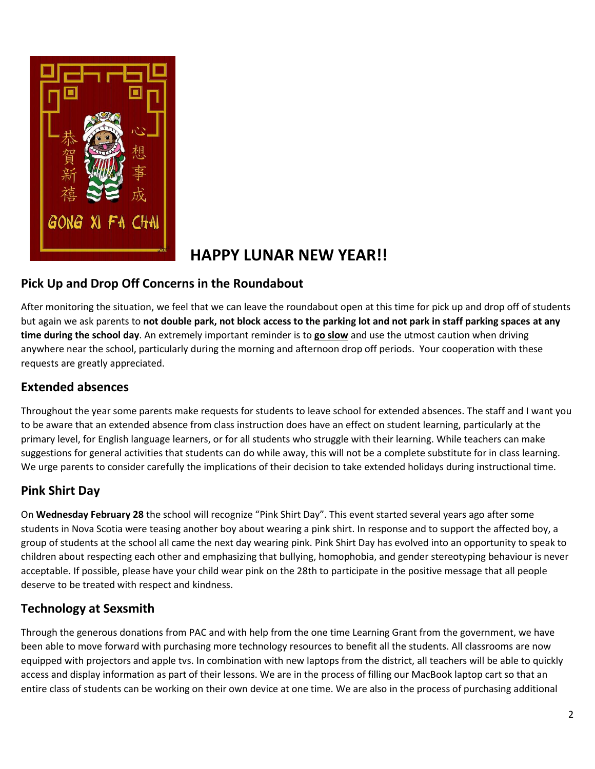

# **HAPPY LUNAR NEW YEAR!!**

## **Pick Up and Drop Off Concerns in the Roundabout**

After monitoring the situation, we feel that we can leave the roundabout open at this time for pick up and drop off of students but again we ask parents to **not double park, not block access to the parking lot and not park in staff parking spaces at any time during the school day**. An extremely important reminder is to **go slow** and use the utmost caution when driving anywhere near the school, particularly during the morning and afternoon drop off periods. Your cooperation with these requests are greatly appreciated.

#### **Extended absences**

Throughout the year some parents make requests for students to leave school for extended absences. The staff and I want you to be aware that an extended absence from class instruction does have an effect on student learning, particularly at the primary level, for English language learners, or for all students who struggle with their learning. While teachers can make suggestions for general activities that students can do while away, this will not be a complete substitute for in class learning. We urge parents to consider carefully the implications of their decision to take extended holidays during instructional time.

# **Pink Shirt Day**

On **Wednesday February 28** the school will recognize "Pink Shirt Day". This event started several years ago after some students in Nova Scotia were teasing another boy about wearing a pink shirt. In response and to support the affected boy, a group of students at the school all came the next day wearing pink. Pink Shirt Day has evolved into an opportunity to speak to children about respecting each other and emphasizing that bullying, homophobia, and gender stereotyping behaviour is never acceptable. If possible, please have your child wear pink on the 28th to participate in the positive message that all people deserve to be treated with respect and kindness.

### **Technology at Sexsmith**

Through the generous donations from PAC and with help from the one time Learning Grant from the government, we have been able to move forward with purchasing more technology resources to benefit all the students. All classrooms are now equipped with projectors and apple tvs. In combination with new laptops from the district, all teachers will be able to quickly access and display information as part of their lessons. We are in the process of filling our MacBook laptop cart so that an entire class of students can be working on their own device at one time. We are also in the process of purchasing additional